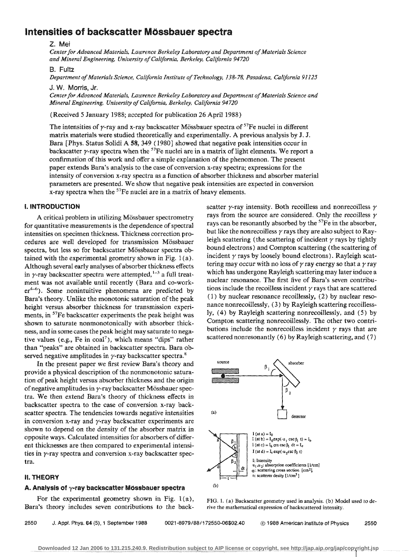# **Intensities of backscatter MOssbauer spectra**

#### Z. Mei

*Center for Advanced Materials, Lawrence Berkeley Laboratory and Department of Materials Science and Minerai Engineering, University of California, Berkeley, California 94720* 

#### B. Fultz

*Department of Materials Science, California Institute of Technology, 138-78, Pasadena, California 91125* 

J. W. Morris, Jr.

*Center for Advanced Materials, Lawrence Berkeley Laboratory and Department of Materials Science and Mineral Engineering, University of California, Berkeley, California 94 720* 

(Received 5 January 1988; accepted for publication 26 April 1988)

The intensities of y-ray and x-ray backscatter Mössbauer spectra of  $57$ Fe nuclei in different matrix materials were studied theoretically and experimentally. A previous analysis by J. J. Bara [ Phys. Status Solidi A 58, 349 ( 1980] showed that negative peak intensities occur in backscatter  $\gamma$ -ray spectra when the <sup>57</sup>Fe nuclei are in a matrix of light elements. We report a confirmation of this work and offer a simple explanation of the phenomenon. The present paper extends Bara's analysis to the case of conversion x-ray spectra; expressions for the intensity of conversion x-ray spectra as a function of absorber thickness and absorber material parameters are presented. We show that negative peak intensities are expected in conversion x-ray spectra when the  $57$ Fe nuclei are in a matrix of heavy elements.

# I. INTRODUCTION

A critical problem in utilizing Mössbauer spectrometry for quantitative measurements is the dependence of spectral intensities on specimen thickness. Thickness correction procedures are well developed for transmission Mössbauer spectra, but less so for backscatter Mössbauer spectra obtained with the experimental geometry shown in Fig.  $1(a)$ . Although several early analyses of absorber thickness effects in  $\gamma$ -ray backscatter spectra were attempted,  $l-3$  a full treatment was not available until recently (Bara and co-work $er<sup>4-6</sup>$ ). Some nonintuitive phenomena are predicted by Bara's theory. Unlike the monotonic saturation of the peak height versus absorber thickness for transmission experiments, in <sup>57</sup>Fe backscatter experiments the peak height was shown to saturate nonmonotonically with absorber thickness, and in some cases the peak height may saturate to negative values (e.g., Fe in  $coal^7$ ), which means "dips" rather than "peaks" are obtained in backscatter spectra. Bara observed negative amplitudes in  $\gamma$ -ray backscatter spectra.<sup>8</sup>

In the present paper we first review Bara's theory and provide a physical description of the nonmonotonic saturation of peak height versus absorber thickness and the origin of negative amplitudes in  $\gamma$ -ray backscatter Mössbauer spectra. We then extend Bara's theory of thickness effects in backscatter spectra to the case of conversion x-ray backscatter spectra. The tendencies towards negative intensities in conversion x-ray and  $\gamma$ -ray backscatter experiments are shown to depend on the density of the absorber matrix in opposite ways. Calculated intensities for absorbers of different thicknesses are then compared to experimental intensities in  $\gamma$ -ray spectra and conversion x-ray backscatter spectra.

#### II. THEORY

#### A. Analysis of  $\gamma$ -ray backscatter Mossbauer spectra

For the experimental geometry shown in Fig.  $1(a)$ , Bara's theory includes seven contributions to the backscatter  $\nu$ -ray intensity. Both recoilless and nonrecoilless  $\nu$ rays from the source are considered. Only the recoilless  $\gamma$ rays can be resonantly absorbed by the <sup>57</sup>Fe in the absorber, but like the nonrecoilless  $\gamma$  rays they are also subject to Rayleigh scattering (the scattering of incident  $\gamma$  rays by tightly bound electrons) and Compton scattering (the scattering of incident  $\gamma$  rays by loosely bound electrons). Rayleigh scattering may occur with no loss of  $\gamma$  ray energy so that a  $\gamma$  ray which has undergone Rayleigh scattering may later induce a nuclear resonance. The first five of Bara's seven contributions include the recoilless incident  $\gamma$  rays that are scattered ( 1) by nuclear resonance recoillessly, (2) by nuclear resonance nonrecoillessly, ( 3) by Rayleigh scattering recoillessly, (4) by Rayleigh scattering nonrecoillessly, and (5) by Compton scattering nonrecoillessly. The other two contributions include the nonrecoilless incident  $\gamma$  rays that are scattered nonresonantly  $(6)$  by Rayleigh scattering, and  $(7)$ 



FIG. l. {a) Backscatter geometry used in analysis. (b) Model used to derive the mathematical expression of backscattered intensity.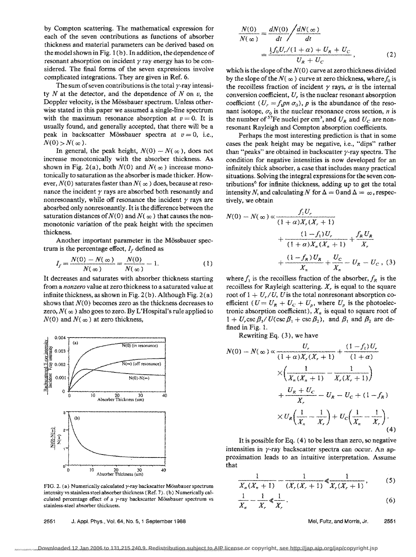by Compton scattering. The mathematical expression for each of the seven contributions as functions of absorber thickness and material parameters can be derived based on the model shown in Fig. 1 (b). In addition, the dependence of resonant absorption on incident  $\gamma$  ray energy has to be considered. The final forms of the seven expressions involve complicated integrations. They are given in Ref. 6.

The sum of seven contributions is the total  $\nu$ -ray intensity N at the detector, and the dependence of N on *v,* the Doppler velocity, is the Mössbauer spectrum. Unless otherwise stated in this paper we assumed a single-line spectrum with the maximum resonance absorption at  $v = 0$ . It is usually found, and generally accepted, that there will be a peak in backscatter Mössbauer spectra at  $v = 0$ , i.e.,  $N(0) > N(\infty)$ .

In general, the peak height,  $N(0) - N(\infty)$ , does not increase monotonically with the absorber thickness. As shown in Fig. 2(a), both  $N(0)$  and  $N(\infty)$  increase monotonically to saturation as the absorber is made thicker. However,  $N(0)$  saturates faster than  $N(\infty)$  does, because at resonance the incident *y* rays are absorbed both resonantly and nonresonantly, while off resonance the incident  $\gamma$  rays are abosrbed only nonresonantly. It is the difference between the saturation distances of  $N(0)$  and  $N(\infty)$  that causes the nonmonotonic variation of the peak height with the specimen thickness.

Another important parameter in the Mössbauer spectrum is the percentage effect,  $I_f$  defined as

$$
I_f = \frac{N(0) - N(\infty)}{N(\infty)} = \frac{N(0)}{N(\infty)} - 1.
$$
 (1)

It decreases and saturates with absorber thickness starting from a *nonzero* value at zero thickness to a saturated value at infinite thickness, as shown in Fig.  $2(b)$ . Although Fig.  $2(a)$ shows that  $N(0)$  becomes zero as the thickness decreases to zero,  $N(\infty)$  also goes to zero. By L'Hospital's rule applied to  $N(0)$  and  $N(\infty)$  at zero thickness,



FIG. 2. (a) Numerically calculated  $\gamma$ -ray backscatter Mössbauer spectrum intensity vs stainless steel absorber thickness (Ref. 7). (b) Numerically calculated percentage effect of a  $\gamma$ -ray backscatter Mössbauer spectrum vs stainless-steel absorber thickness.

2551 J. Appl. Phys., Vo!. 64, No.5, 1 September 1988

$$
\frac{N(0)}{N(\infty)} = \frac{dN(0)}{dt} / \frac{dN(\infty)}{dt}
$$

$$
= \frac{\frac{1}{2}f_0 U_r/(1+\alpha) + U_R + U_C}{U_R + U_C},
$$
(2)

which is the slope of the *N(O)* curve at zero thickness divided by the slope of the  $N(\infty)$  curve at zero thickness, where  $f_0$  is the recoilless fraction of incident  $\gamma$  rays,  $\alpha$  is the internal conversion coefficient, U, is the nuclear resonant absorption coefficient  $(U_r = f_1 p n \sigma_0)$ , *p* is the abundance of the resonant isotope,  $\sigma_0$  is the nuclear resonance cross section, *n* is the number of <sup>57</sup>Fe nuclei per cm<sup>3</sup>, and  $U_R$  and  $U_C$  are nonresonant Rayleigh and Compton absorption coefficients.

Perhaps the most interesting prediction is that in some cases the peak height may be negative, i.e., "dips" rather than "peaks" are obtained in backscatter  $\gamma$ -ray spectra. The condition for negative intensities is now developed for an infinitely thick absorber, a case that includes many practical situations. Solving the integral expressions for the seven contributions<sup>6</sup> for infinite thickness, adding up to get the total intensity N, and calculating N for  $\Delta = 0$  and  $\Delta = \infty$ , respectively, we obtain

$$
N(0) - N(\infty) \propto \frac{f_1 U_r}{(1+\alpha)X_r(X_r+1)}
$$
  
+ 
$$
\frac{(1-f_1)U_r}{(1+\alpha)X_n(X_n+1)} + \frac{f_R U_R}{X_r}
$$
  
+ 
$$
\frac{(1-f_R)U_R}{X_n} + \frac{U_C}{X_n} - U_R - U_C
$$
, (3)

where  $f_1$  is the recoilless fraction of the absorber,  $f_R$  is the recoilless for Rayleigh scattering.  $X<sub>r</sub>$  is equal to the square root of  $1 + U_r/U$ , U is the total nonresonant absorption coefficient ( $U = U_R + U_C + U_p$ , where  $U_p$  is the photoelectronic absorption coefficient),  $X_n$  is equal to square root of  $1 + U$ , csc  $\beta_1/U(\csc \beta_1 + \csc \beta_2)$ , and  $\beta_1$  and  $\beta_2$  are defined in Fig. 1.

Rewriting Eq. (3), we have

$$
N(0) - N(\infty) \propto \frac{U_r}{(1+\alpha)X_r(X_r+1)} + \frac{(1-f_1)U_r}{(1+\alpha)}
$$
  
 
$$
\times \left(\frac{1}{X_n(X_n+1)} - \frac{1}{X_r(X_r+1)}\right)
$$
  
 
$$
+ \frac{U_R + U_C}{X_r} - U_R - U_C + (1-f_R)
$$
  
 
$$
\times U_R\left(\frac{1}{X_n} - \frac{1}{X_r}\right) + U_C\left(\frac{1}{X_n} - \frac{1}{X_r}\right).
$$
  
(4)

It is possible for Eq. ( 4) to be less than zero, so negative intensities in  $\gamma$ -ray backscatter spectra can occur. An approximation leads to an intuitive interpretation. Assume that

$$
\frac{1}{X_n(X_n+1)} - \frac{1}{(X_r(X_r+1))} \ll \frac{1}{X_r(X_r+1)},
$$
 (5)

$$
\frac{1}{X_n} - \frac{1}{X_r} \ll \frac{1}{X_r} \tag{6}
$$

Mei, Fultz, and Morris, Jr. 2551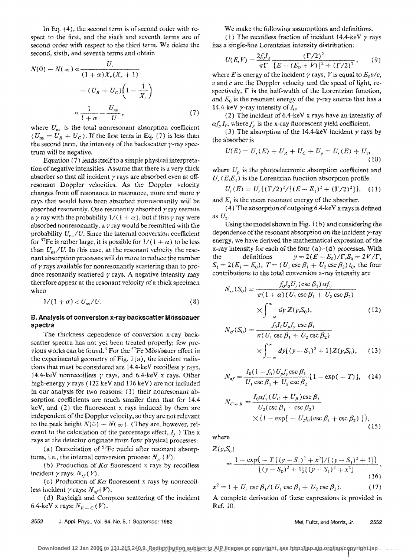In Eq. ( 4), the second term is of second order with respect to the first, and the sixth and seventh terms are of second order with respect to the third term. We delete the second, sixth, and seventh terms and obtain

$$
N(0) - N(\infty) \propto \frac{U_r}{(1+\alpha)X_r(X_r+1)}
$$

$$
- (U_R + U_C) \left(1 - \frac{1}{X_r}\right)
$$

$$
\propto \frac{1}{1+\alpha} - \frac{U_{\text{ns}}}{U},
$$
(7)

where  $U_{\text{ns}}$  is the total nonresonant absorption coefficient  $(U_{\text{ns}} = U_R + U_C)$ . If the first term in Eq. (7) is less than the second term, the intensity of the backscatter  $\gamma$ -ray spectrum will be negative.

Equation (7) lends itself to a simple physical interpretation of negative intensities. Assume that there is a very thick absorber so that all incident  $\gamma$  rays are absorbed even at offresonant Doppler velocities. As the Doppler velocity changes from off resonance to resonance, more and more *r*  rays that would have been absorbed nonresonantly wiH be absorbed resonantly. One resonantly absorbed  $\gamma$  ray reemits a  $\gamma$  ray with the probability  $1/(1 + \alpha)$ , but if this  $\gamma$  ray were absorbed nonresonantly, a  $\gamma$  ray would be reemitted with the probability  $U_{\text{ps}}/U$ . Since the internal conversion coefficient for <sup>57</sup>Fe is rather large, it is possible for  $1/(1 + \alpha)$  to be less than  $U_{\text{ns}}/U$ . In this case, at the resonant velocity the resonant absorption processes will do more to reduce the number of  $\gamma$  rays available for nonresonantly scattering than to produce resonantly scattered  $\gamma$  rays. A negative intensity may therefore appear at the resonant velocity of a thick specimen when

$$
1/(1+\alpha) \langle U_{\rm ns}/U. \tag{8}
$$

## B. Analysis of conversion x-ray backscatter MOssbauer spectra

The thickness dependence of conversion x-ray backscatter spectra has not yet been treated properly; few previous works can be found.<sup>9</sup> For the <sup>57</sup>Fe Mössbauer effect in the experimental geometry of Fig. 1 (a), the incident radiations that must be considered are 14.4-keV recoilless *r* rays, 14.4-keV nonrecoilless  $\gamma$  rays, and 6.4-keV x rays. Other high-energy  $\gamma$  rays (122 keV and 136 keV) are not included in our analysis for two reasons: ( 1) their nonresonant absorption coefficients are much smaller than that for 14.4 keV, and (2) the fluorescent x rays induced by them are independent of the Doppler velocity, so they are not relevant to the peak height  $N(0) - N(\infty)$ . (They are, however, relevant to the calculation of the percentage effect,  $I_f$ .) The x rays at the detector originate from four physical processes:

(a) Deexcitation of  $57$ Fe nuclei after resonant absorptions, i.e., the internal conversion process:  $N_{rr}(V)$ .

(b) Production of  $K\alpha$  fluorescent x rays by recoilless incident  $\gamma$  rays:  $N_{\rm rf}(V)$ .

(c) Production of  $K\alpha$  fluorescent x rays by nonrecoilless incident  $\gamma$  rays:  $N_{\textit{nf}}(V)$ .

(d) Rayleigh and Compton scattering of the incident 6.4-keV x rays:  $N_{R+C}(V)$ .

2552 J. Appi. Phys., Vol. 64, No. 5, 1 September 1988

We make the following assumptions and definitions.

(1) The recoilless fraction of incident 14.4-keV  $\gamma$  rays has a single-line Lorentzian intensity distribution:

$$
U(E,V) = \frac{2f_0I_0}{\pi\Gamma} \frac{(\Gamma/2)^2}{[E - (E_0 + V)]^2 + (\Gamma/2)^2},
$$
 (9)

where *E* is energy of the incident  $\gamma$  rays, *V* is equal to  $E_0 v/c$ , *v* and *c* are the Doppler velocity and the speed of light, respectively,  $\Gamma$  is the half-width of the Lorentzian function, and  $E_0$  is the resonant energy of the  $\gamma$ -ray source that has a 14.4-keV  $\gamma$ -ray intensity of  $I_0$ .

( 2) The incident of 6.4-ke V x rays have an intensity of  $\alpha f_{\nu}I_{0}$ , where  $f_{\nu}$  is the x-ray fluorescent yield coefficient.

(3) The absorption of the 14.4-keV incident  $\gamma$  rays by the absorber is

$$
U(E) = U_r(E) + U_R + U_C + U_p = U_r(E) + U_i,
$$
\n(10)

where  $U_p$  is the photoelectronic absorption coefficient and  $U_r$  (E,E<sub>1</sub>) is the Lorentzian function absorption profile:

$$
U_r(E) = U_r \{ (\Gamma/2)^2 / [(E - E_1)^2 + (\Gamma/2)^2] \},
$$
 (11)

and  $E_1$  is the mean resonant energy of the absorber.

(4) The absorption of outgoing  $6.4$ -keV x rays is defined as U*2•* 

Using the model shown in Fig. 1 (b) and considering the dependence of the resonant absorption on the incident  $\gamma$ -ray energy, we have derived the mathematical expression of the x-ray intensity for each of the four  $(a)-(d)$  processes. With the definitions  $y = 2(E - E_0)/\Gamma$ ,  $S_0 = 2V/\Gamma$ ,  $S_1 = 2(E_1 - E_0)$ ,  $T = (U_1 \csc \beta_1 + U_2 \csc \beta_2) t_0$ , the four contributions to the total conversion x-ray intensity are

$$
N_{rr}(S_0) = \frac{f_0 I_0 U_r(\csc \beta_1) a f_y}{\pi (1 + \alpha) (U_1 \csc \beta_1 + U_2 \csc \beta_2)}
$$
  
 
$$
\times \int_{-\infty}^{\infty} dy Z(y, S_0), \qquad (12)
$$

$$
N_{rf}(S_0) = \frac{f_0 I_0 U_p f_y \csc \beta_1}{\pi (U_1 \csc \beta_1 + U_2 \csc \beta_2)}
$$
  
 
$$
\times \int_{-\infty}^{\infty} dy \left[ (y - S_1)^2 + 1 \right] Z(y, S_0), \quad (13)
$$

$$
N_{nf} = \frac{I_0(1 - f_0)U_p f_y \csc \beta_1}{U_1 \csc \beta_1 + U_2 \csc \beta_2} [1 - \exp(-T)], \quad (14)
$$

$$
N_{C+R} = \frac{I_0 \alpha f_y (U_C + U_R) \csc \beta_i}{U_2 (\csc \beta_1 + \csc \beta_2)}
$$
  
×{1 - exp[-U<sub>2</sub>t<sub>0</sub>(csc  $\beta_1$  + csc  $\beta_2$ )}], (15)

where

 $Z(y,S_0)$ 

$$
=\frac{1-\exp\{-T[(y-S_1)^2+x^2]/[(y-S_1)^2+1]\}}{[(y-S_0)^2+1][(y-S_1)^2+x^2]},
$$
\n(16)

$$
x^{2} = 1 + U_{r} \csc \beta_{1} / (U_{1} \csc \beta_{1} + U_{2} \csc \beta_{2}).
$$
 (17)

A complete derivation of these expressions is provided in Ref. 10.

Mei, Fultz, and Morris, Jr. 2552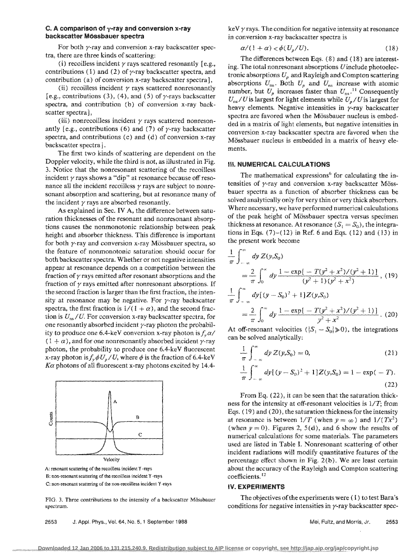## C. A comparison of  $\gamma$ -ray and conversion x-ray backscatter M6ssbauer spectra

For both  $\gamma$ -ray and conversion x-ray backscatter spectra, there are three kinds of scattering:

(i) recoilless incident  $\gamma$  rays scattered resonantly [e.g., contributions (1) and (2) of  $\gamma$ -ray backscatter spectra, and contribution (a) of conversion x-ray backscatter spectra J,

(ii) recoilless incident  $\gamma$  rays scattered nonresonantly [e.g., contributions (3), (4), and (5) of  $\gamma$ -rays backscatter spectra, and contribution (b) of conversion x-ray backscatter spectra),

(iii) nonrecoilless incident  $\gamma$  rays scattered nonresonantly [e.g., contributions (6) and (7) of  $\gamma$ -ray backscatter spectra, and contributions (c) and (d) of conversion x-ray backscatter spectra j.

The first two kinds of scattering are dependent on the Doppler velocity, while the third is not, as illustrated in Fig. 3. Notice that the nonresonant scattering of the recoilless incident  $\gamma$  rays shows a "dip" at resonance because off resonance all the incident recoilless  $\gamma$  rays are subject to nonresonant absorption and scattering, but at resonance many of the incident  $\gamma$  rays are absorbed resonantly.

As explained in Sec. IV A, the difference between saturation thicknesses of the resonant and nonresonant absorptions causes the nonmonotonic relationship between peak height and absorber thickness. This difference is important for both  $\gamma$ -ray and conversion x-ray Mössbauer spectra, so the feature of nonmonotonic saturation should occur for both backscatter spectra. Whether or not negative intensities appear at resonance depends on a competition between the fraction of  $\gamma$  rays emitted after resonant absorptions and the fraction of  $\gamma$  rays emitted after nonresonant absorptions. If the second fraction is larger than the first fraction, the intensity at resonance may be negative. For  $\gamma$ -ray backscatter spectra, the first fraction is  $1/(1 + \alpha)$ , and the second fraction is  $U_{ns}/U$ . For conversion x-ray backscatter spectra, for one resonantly absorbed incident  $\gamma$ -ray photon the probability to produce one 6.4-keV conversion x-ray photon is  $f_v \alpha/$  $(1 + \alpha)$ , and for one nonresonantly absorbed incident y-ray photon, the probability to produce one 6.4-keV fluorescent x-ray photon is  $f_y \phi U_p / U$ , where  $\phi$  is the fraction of 6.4-keV  $K\alpha$  photons of all fluorescent x-ray photons excited by 14.4-



A: resonant scattering of the recoilless incident Y -rays B: non-resonant scattering of the recoilless incident Y -rays C: non-resooant scattering of the non-recoilless incident Y -rays

FIG. 3. Three contributions to the intensity of a backscatter Mössbauer spectrum.

2553 J. Appl. Phys., Vol. 64, No.5, 1 September 1988

keV  $\gamma$  rays. The condition for negative intensity at resonance in conversion x~ray backscatter spectra is

$$
\alpha/(1+\alpha) < \phi(U_p/U). \tag{18}
$$

The differences between Eqs. ( 8) and ( 18) are interesting. The total nonresonant absorptions *U* include photoelectronic absorptions  $U_p$  and Rayleigh and Compton scattering absorptions  $U_{\text{ns}}$ . Both  $U_p$  and  $U_{\text{ns}}$  increase with atomic number, but  $U_p$  increases faster than  $U_{ns}$ .<sup>11</sup> Consequently  $U_{\text{ns}}/U$  is largest for light elements while  $U_{p}/U$  is largest for heavy elements. Negative intensities in  $\gamma$ -ray backscatter spectra are favored when the Mössbauer nucleus is embedded in a matrix of light elements, but negative intensities in conversion x-ray backscatter spectra are favored when the Mössbauer nucleus is embedded in a matrix of heavy elements.

## Ill. NUMERICAl CALCULATIONS

The mathematical expressions<sup>6</sup> for calculating the intensities of  $\gamma$ -ray and conversion x-ray backscatter Mössbauer spectra as a function of absorber thickness can be solved analytically only for very thin or very thick absorbers. Where necessary, we have performed numerical calculations of the peak height of Mössbauer spectra versus specimen thickness at resonance. At resonance  $(S_1 = S_0)$ , the integrations in Eqs.  $(7)-(12)$  in Ref. 6 and Eqs.  $(12)$  and  $(13)$  in the present work become

$$
\frac{1}{\pi} \int_{-\infty}^{\infty} dy \, Z(y, S_0)
$$
\n
$$
= \frac{2}{\pi} \int_{0}^{\infty} dy \, \frac{1 - \exp[-T(y^2 + x^2)/(y^2 + 1)]}{(y^2 + 1)(y^2 + x^2)}, \quad (19)
$$
\n
$$
\frac{1}{\pi} \int_{-\infty}^{\infty} dy \left[ (y - S_0)^2 + 1 \right] Z(y, S_0)
$$
\n
$$
= \frac{2}{\pi} \int_{0}^{\infty} dy \, \frac{1 - \exp[-T(y^2 + x^2)/(y^2 + 1)]}{y^2 + x^2}. \quad (20)
$$

At off-resonant velocities  $(|S_1 - S_0| \ge 0)$ , the integrations can be solved analytically:

$$
\frac{1}{\pi} \int_{-\infty}^{\infty} dy Z(y, S_0) = 0, \qquad (21)
$$

$$
\frac{1}{\pi} \int_{-\infty}^{\infty} dy [(y - S_0)^2 + 1] Z(y, S_0) = 1 - \exp(-T).
$$
\n(22)

From Eq. (22), it can be seen that the saturation thickness for the intensity at off-resonant velocities is  $1/T$ ; from Eqs. ( 19) and ( 20), the saturation thickness for the intensity at resonance is between  $1/T$  (when  $y = \infty$ ) and  $1/(Tx^2)$ (when  $y = 0$ ). Figures 2, 5(d), and 6 show the results of numerical calculations for some materials. The parameters used are listed in Table I. Nonresonant scattering of other incident radiations will modify quantitative features of the percentage effect shown in Fig. 2(b). We are least certain about the accuracy of the Rayleigh and Compton scattering coefficients. 12

#### IV. EXPERIMENTS

The objectives of the experiments were ( 1) to test Bara's conditions for negative intensities in  $\gamma$ -ray backscatter spec-

Mei, Fultz, and Morris, Jr. 2553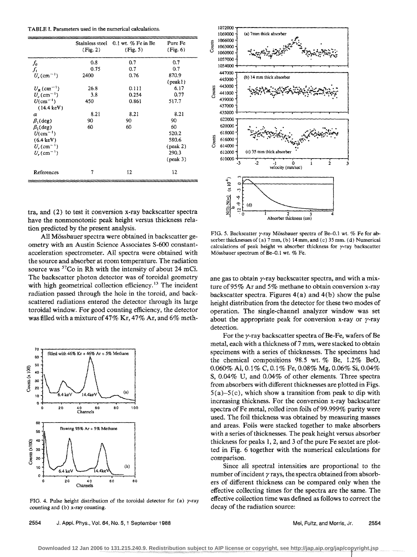TABLE I. Parameters used in the numerical calculations.

|                                  | (Fig. 2) | Stainless steel 0.1 wt. % Fe in Be<br>(Fig. 5) | Pure Fe<br>(Fig. 6) |
|----------------------------------|----------|------------------------------------------------|---------------------|
| $f_{0}$                          | 0.8      | 0.7                                            | 0.7                 |
| $f_{1}$                          | 0.75     | 0.7                                            | 0.7                 |
| $U_{r}$ (cm <sup>-1</sup> )      | 2400     | 0.76                                           | 870.9               |
|                                  |          |                                                | ${\rm (peak1)}$     |
| $U_{\rm p}$ (cm <sup>--1</sup> ) | 26.8     | 0.111                                          | 6.17                |
| $U_c$ (cm <sup>-1</sup> )        | 3.8      | 0.254                                          | 0.77                |
| $U$ (cm <sup>-1</sup> )          | 450      | 0.861                                          | 517.7               |
| $(14.4 \text{ keV})$             |          |                                                |                     |
| $\alpha$                         | 8.21     | 8.21                                           | 8.21                |
| $\beta_1$ (deg)                  | 90       | 90                                             | 90                  |
| $\beta_2$ (deg)                  | 60       | 60                                             | 60                  |
| $U$ (cm <sup>-1</sup> )          |          |                                                | 520.2               |
| $(6.4 \text{ keV})$              |          |                                                | 580.6               |
| $U_{r}$ (cm <sup>-1</sup> )      |          |                                                | $(\text{peak } 2)$  |
| $U_{\rm r}$ (cm <sup>-1</sup> )  |          |                                                | 290.3               |
|                                  |          |                                                | $(\text{peak } 3)$  |
| References                       | 7        | 12                                             | 12                  |

tra, and (2) to test it conversion x-ray backscatter spectra have the nonmonotonic peak height versus thickness relation predicted by the present analysis.

All Mössbauer spectra were obtained in backscatter geometry with an Austin Science Associates S-600 constantacceleration spectrometer. All spectra were obtained with the source and absorber at room temperature. The radiation source was <sup>57</sup>Co in Rh with the intensity of about 24 mCi. The backscatter photon detector was of toroidal geometry with high geometrical collection efficiency.<sup>13</sup> The incident radiation passed through the hole in the toroid, and backscattered radiations entered the detector through its large toroidal window. For good counting efficiency, the detector was filled with a mixture of 47% Kr, 47% Ar, and 6% meth-



FIG. 4. Pulse height distribution of the toroidal detector for (a)  $\gamma$ -ray counting and (b) x-ray counting.



FIG. 5. Backscatter  $\gamma$ -ray Mössbauer spectra of Be-0.1 wt. % Fe for absorber thicknesses of (a) 7 mm, (b) 14 mm, and (c) 35 mm. (d) Numerical calculations of peak height vs absorber thickness for  $\gamma$ -ray backscatter Mössbauer spectrum of Be-0.1 wt. % Fe.

ane gas to obtain y-ray backscatter spectra, and with a mixture of 95% Ar and 5% methane to obtain conversion x-ray backscatter spectra. Figures  $4(a)$  and  $4(b)$  show the pulse height distribution from the detector for these two modes of operation. The single-channel analyzer window was set about the appropriate peak for conversion x-ray or  $\gamma$ -ray detection.

For the  $\gamma$ -ray backscatter spectra of Be-Fe, wafers of Be metal, each with a thickness of 7 mm, were stacked to obtain specimens with a series of thicknesses. The specimens had the chemical compositions 98.5 wt. % Be, 1.2% BeO, 0.060% Al, 0.1% C, 0.1% Fe, 0.08% Mg, 0.06% Si, 0.04% S, 0.04% U, and 0.04% of other elements. Three spectra from absorbers with different thicknesses are plotted in Figs.  $5(a) - 5(c)$ , which show a transition from peak to dip with increasing thickness. For the conversion x-ray backscatter spectra of Fe metal, rolled iron foils of 99.999% purity were used. The foil thickness was obtained by measuring masses and areas. Foils were stacked together to make absorbers with a series of thicknesses. The peak height versus absorber thickness for peaks 1, 2, and 3 of the pure Fe sextet are plotted in Fig. 6 together with the numerical calculations for comparison.

Since all spectral intensities are proportional to the number of incident  $\gamma$  rays, the spectra obtained from absorbers of different thickness can be compared only when the effective collecting times for the spectra are the same. The effective collection time was defined as follows to correct the decay of the radiation source: